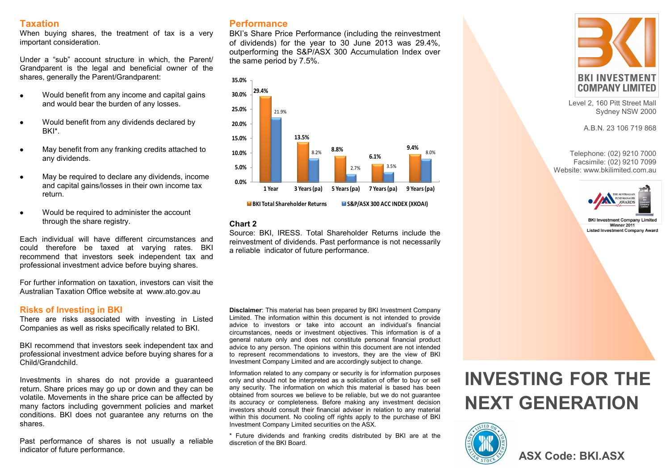# **Taxation**

When buying shares, the treatment of tax is a very important consideration.

Under a "sub" account structure in which, the Parent/ Grandparent is the legal and beneficial owner of the shares, generally the Parent/Grandparent:

- $\bullet$ Would benefit from any income and capital gains and would bear the burden of any losses.
- Would benefit from any dividends declared by  $\bullet$ BKI\*.
- May benefit from any franking credits attached to any dividends.
- May be required to declare any dividends, income and capital gains/losses in their own income tax return.
- Would be required to administer the account  $\bullet$ through the share registry.

Each individual will have different circumstances and could therefore be taxed at varying rates. BKI recommend that investors seek independent tax and professional investment advice before buying shares.

For further information on taxation, investors can visit the Australian Taxation Office website at www.ato.gov.au

# **Risks of Investing in BKI**

There are risks associated with investing in Listed Companies as well as risks specifically related to BKI.

BKI recommend that investors seek independent tax and professional investment advice before buying shares for a Child/Grandchild.

Investments in shares do not provide a guaranteed return. Share prices may go up or down and they can be volatile. Movements in the share price can be affected by many factors including government policies and market conditions. BKI does not guarantee any returns on the shares.

Past performance of shares is not usually a reliable indicator of future performance.

# **Performance**

BKI's Share Price Performance (including the reinvestment of dividends) for the year to 30 June 2013 was 29.4%, outperforming the S&P/ASX 300 Accumulation Index over the same period by 7.5%.



# **Chart 2**

Source: BKI, IRESS. Total Shareholder Returns include the reinvestment of dividends. Past performance is not necessarily a reliable indicator of future performance.

**Disclaimer**: This material has been prepared by BKI Investment Company Limited. The information within this document is not intended to provide advice to investors or take into account an individual's financial circumstances, needs or investment objectives. This information is of a general nature only and does not constitute personal financial product advice to any person. The opinions within this document are not intended to represent recommendations to investors, they are the view of BKI Investment Company Limited and are accordingly subject to change.

Information related to any company or security is for information purposes only and should not be interpreted as a solicitation of offer to buy or sell any security. The information on which this material is based has been obtained from sources we believe to be reliable, but we do not guarantee its accuracy or completeness. Before making any investment decision investors should consult their financial adviser in relation to any material within this document. No cooling off rights apply to the purchase of BKI Investment Company Limited securities on the ASX.

\* Future dividends and franking credits distributed by BKI are at the discretion of the BKI Board.

# **INVESTING FOR THE NEXT GENERATION**



Level 2, 160 Pitt Street Mall Sydney NSW 2000

A.B.N. 23 106 719 868

Telephone: (02) 9210 7000 Facsimile: (02) 9210 7099 Website: www.bkilimited.com.au



**BKI Investment Company Limite** Winner 2011 **Listed Investment Company Award**